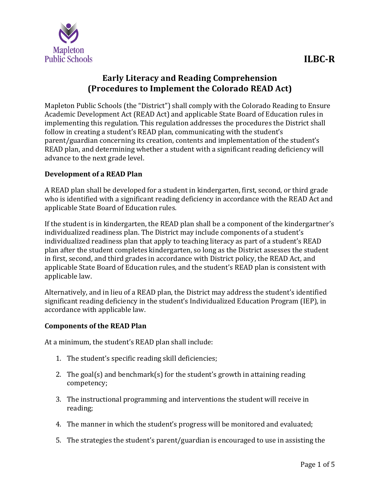

# **Early Literacy and Reading Comprehension (Procedures to Implement the Colorado READ Act)**

Mapleton Public Schools (the "District") shall comply with the Colorado Reading to Ensure Academic Development Act (READ Act) and applicable State Board of Education rules in implementing this regulation. This regulation addresses the procedures the District shall follow in creating a student's READ plan, communicating with the student's parent/guardian concerning its creation, contents and implementation of the student's READ plan, and determining whether a student with a significant reading deficiency will advance to the next grade level.

## **Development of a READ Plan**

A READ plan shall be developed for a student in kindergarten, first, second, or third grade who is identified with a significant reading deficiency in accordance with the READ Act and applicable State Board of Education rules.

If the student is in kindergarten, the READ plan shall be a component of the kindergartner's individualized readiness plan. The District may include components of a student's individualized readiness plan that apply to teaching literacy as part of a student's READ plan after the student completes kindergarten, so long as the District assesses the student in first, second, and third grades in accordance with District policy, the READ Act, and applicable State Board of Education rules, and the student's READ plan is consistent with applicable law.

Alternatively, and in lieu of a READ plan, the District may address the student's identified significant reading deficiency in the student's Individualized Education Program (IEP), in accordance with applicable law.

## **Components of the READ Plan**

At a minimum, the student's READ plan shall include:

- 1. The student's specific reading skill deficiencies;
- 2. The goal(s) and benchmark(s) for the student's growth in attaining reading competency;
- 3. The instructional programming and interventions the student will receive in reading;
- 4. The manner in which the student's progress will be monitored and evaluated;
- 5. The strategies the student's parent/guardian is encouraged to use in assisting the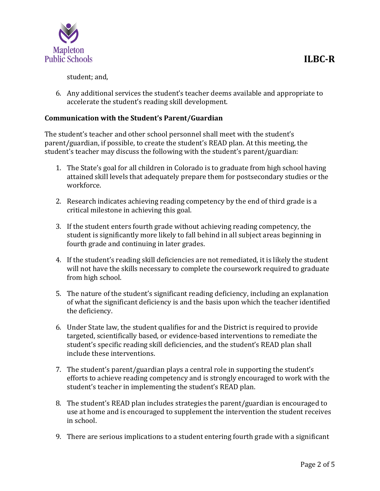

student; and,

6. Any additional services the student's teacher deems available and appropriate to accelerate the student's reading skill development.

## **Communication with the Student's Parent/Guardian**

The student's teacher and other school personnel shall meet with the student's parent/guardian, if possible, to create the student's READ plan. At this meeting, the student's teacher may discuss the following with the student's parent/guardian:

- 1. The State's goal for all children in Colorado is to graduate from high school having attained skill levels that adequately prepare them for postsecondary studies or the workforce.
- 2. Research indicates achieving reading competency by the end of third grade is a critical milestone in achieving this goal.
- 3. If the student enters fourth grade without achieving reading competency, the student is significantly more likely to fall behind in all subject areas beginning in fourth grade and continuing in later grades.
- 4. If the student's reading skill deficiencies are not remediated, it is likely the student will not have the skills necessary to complete the coursework required to graduate from high school.
- 5. The nature of the student's significant reading deficiency, including an explanation of what the significant deficiency is and the basis upon which the teacher identified the deficiency.
- 6. Under State law, the student qualifies for and the District is required to provide targeted, scientifically based, or evidence-based interventions to remediate the student's specific reading skill deficiencies, and the student's READ plan shall include these interventions.
- 7. The student's parent/guardian plays a central role in supporting the student's efforts to achieve reading competency and is strongly encouraged to work with the student's teacher in implementing the student's READ plan.
- 8. The student's READ plan includes strategies the parent/guardian is encouraged to use at home and is encouraged to supplement the intervention the student receives in school.
- 9. There are serious implications to a student entering fourth grade with a significant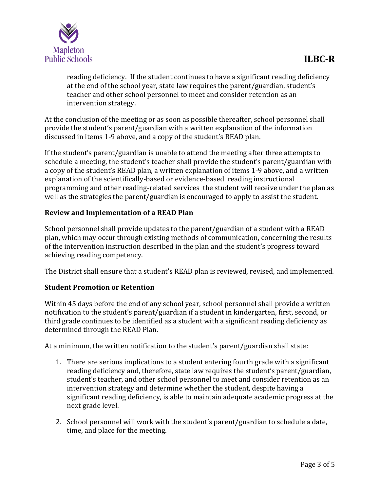

reading deficiency. If the student continues to have a significant reading deficiency at the end of the school year, state law requires the parent/guardian, student's teacher and other school personnel to meet and consider retention as an intervention strategy.

At the conclusion of the meeting or as soon as possible thereafter, school personnel shall provide the student's parent/guardian with a written explanation of the information discussed in items 1-9 above, and a copy of the student's READ plan.

If the student's parent/guardian is unable to attend the meeting after three attempts to schedule a meeting, the student's teacher shall provide the student's parent/guardian with a copy of the student's READ plan, a written explanation of items 1-9 above, and a written explanation of the scientifically-based or evidence-based reading instructional programming and other reading-related services the student will receive under the plan as well as the strategies the parent/guardian is encouraged to apply to assist the student.

## **Review and Implementation of a READ Plan**

School personnel shall provide updates to the parent/guardian of a student with a READ plan, which may occur through existing methods of communication, concerning the results of the intervention instruction described in the plan and the student's progress toward achieving reading competency.

The District shall ensure that a student's READ plan is reviewed, revised, and implemented.

## **Student Promotion or Retention**

Within 45 days before the end of any school year, school personnel shall provide a written notification to the student's parent/guardian if a student in kindergarten, first, second, or third grade continues to be identified as a student with a significant reading deficiency as determined through the READ Plan.

At a minimum, the written notification to the student's parent/guardian shall state:

- 1. There are serious implications to a student entering fourth grade with a significant reading deficiency and, therefore, state law requires the student's parent/guardian, student's teacher, and other school personnel to meet and consider retention as an intervention strategy and determine whether the student, despite having a significant reading deficiency, is able to maintain adequate academic progress at the next grade level.
- 2. School personnel will work with the student's parent/guardian to schedule a date, time, and place for the meeting.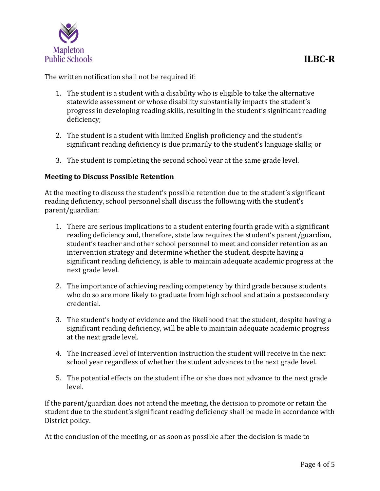

The written notification shall not be required if:

- 1. The student is a student with a disability who is eligible to take the alternative statewide assessment or whose disability substantially impacts the student's progress in developing reading skills, resulting in the student's significant reading deficiency;
- 2. The student is a student with limited English proficiency and the student's significant reading deficiency is due primarily to the student's language skills; or
- 3. The student is completing the second school year at the same grade level.

### **Meeting to Discuss Possible Retention**

At the meeting to discuss the student's possible retention due to the student's significant reading deficiency, school personnel shall discuss the following with the student's parent/guardian:

- 1. There are serious implications to a student entering fourth grade with a significant reading deficiency and, therefore, state law requires the student's parent/guardian, student's teacher and other school personnel to meet and consider retention as an intervention strategy and determine whether the student, despite having a significant reading deficiency, is able to maintain adequate academic progress at the next grade level.
- 2. The importance of achieving reading competency by third grade because students who do so are more likely to graduate from high school and attain a postsecondary credential.
- 3. The student's body of evidence and the likelihood that the student, despite having a significant reading deficiency, will be able to maintain adequate academic progress at the next grade level.
- 4. The increased level of intervention instruction the student will receive in the next school year regardless of whether the student advances to the next grade level.
- 5. The potential effects on the student if he or she does not advance to the next grade level.

If the parent/guardian does not attend the meeting, the decision to promote or retain the student due to the student's significant reading deficiency shall be made in accordance with District policy.

At the conclusion of the meeting, or as soon as possible after the decision is made to